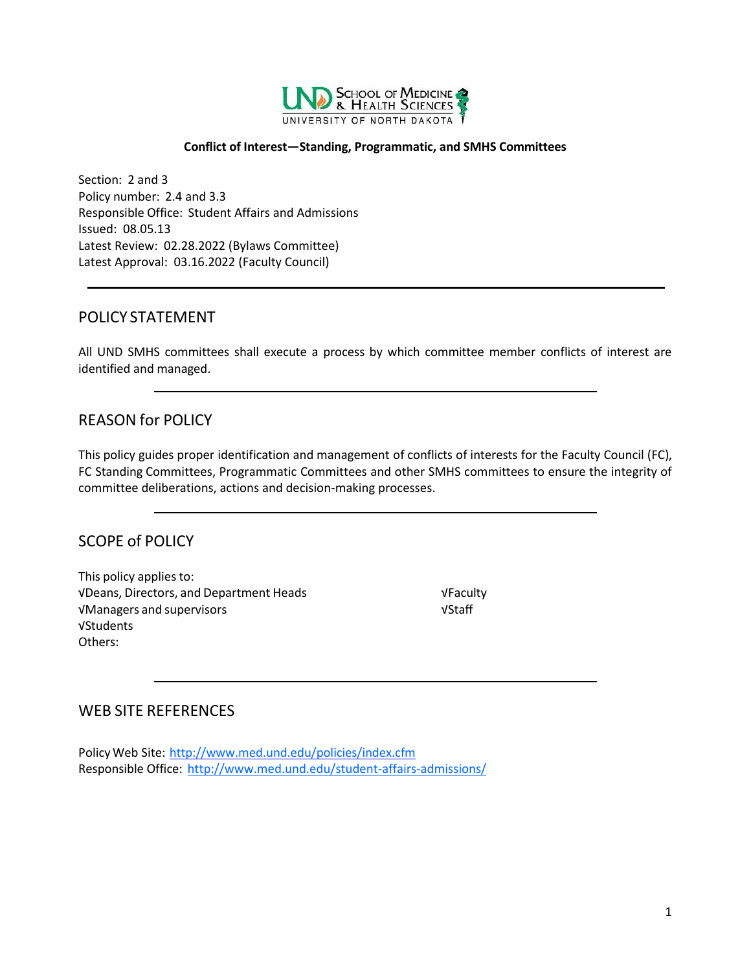

#### **Conflict of Interest—Standing, Programmatic, and SMHS Committees**

Section: 2 and 3 Policy number: 2.4 and 3.3 Responsible Office: Student Affairs and Admissions Issued: 08.05.13 Latest Review: 02.28.2022 (Bylaws Committee) Latest Approval: 03.16.2022 (Faculty Council)

#### <span id="page-0-0"></span>POLICY STATEMENT

All UND SMHS committees shall execute a process by which committee member conflicts of interest are identified and managed.

# <span id="page-0-1"></span>REASON for POLICY

This policy guides proper identification and management of conflicts of interests for the Faculty Council (FC), FC Standing Committees, Programmatic Committees and other SMHS committees to ensure the integrity of committee deliberations, actions and decision-making processes.

### <span id="page-0-2"></span>SCOPE of POLICY

This policy applies to: √Deans, Directors, and Department Heads √Faculty √Managers and supervisors √Staff √Students Others:

# <span id="page-0-3"></span>WEB SITE REFERENCES

PolicyWeb Site: <http://www.med.und.edu/policies/index.cfm> Responsible Office: <http://www.med.und.edu/student-affairs-admissions/>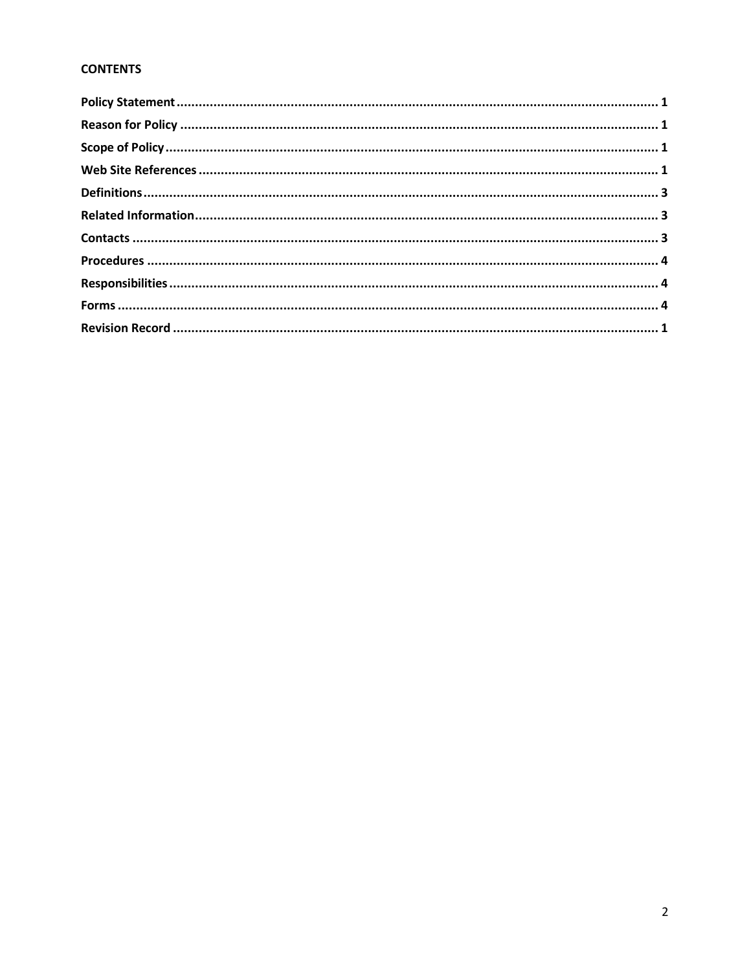#### **CONTENTS**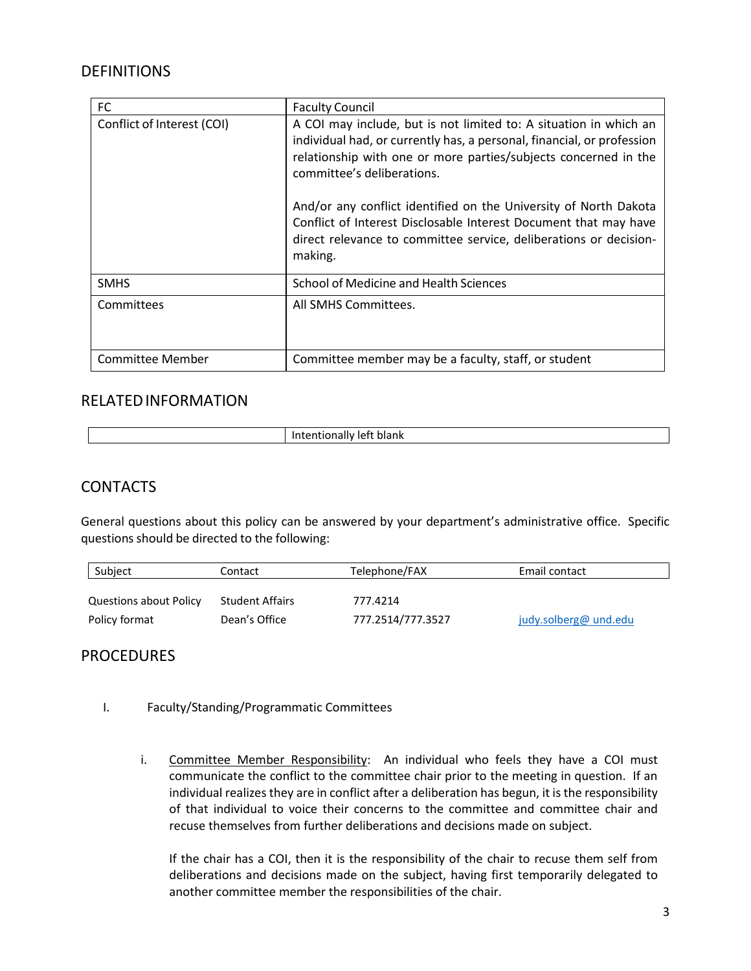# **DEFINITIONS**

| FC                         | <b>Faculty Council</b>                                                                                                                                                                                                                                                                                                                                                                                                                                               |
|----------------------------|----------------------------------------------------------------------------------------------------------------------------------------------------------------------------------------------------------------------------------------------------------------------------------------------------------------------------------------------------------------------------------------------------------------------------------------------------------------------|
| Conflict of Interest (COI) | A COI may include, but is not limited to: A situation in which an<br>individual had, or currently has, a personal, financial, or profession<br>relationship with one or more parties/subjects concerned in the<br>committee's deliberations.<br>And/or any conflict identified on the University of North Dakota<br>Conflict of Interest Disclosable Interest Document that may have<br>direct relevance to committee service, deliberations or decision-<br>making. |
| <b>SMHS</b>                | School of Medicine and Health Sciences                                                                                                                                                                                                                                                                                                                                                                                                                               |
| Committees                 | All SMHS Committees.                                                                                                                                                                                                                                                                                                                                                                                                                                                 |
| <b>Committee Member</b>    | Committee member may be a faculty, staff, or student                                                                                                                                                                                                                                                                                                                                                                                                                 |

### RELATEDINFORMATION

| blank<br>1At<br>undilv<br>.<br>. |
|----------------------------------|

## **CONTACTS**

General questions about this policy can be answered by your department's administrative office. Specific questions should be directed to the following:

| Subject                       | Contact                | Telephone/FAX     | Email contact         |
|-------------------------------|------------------------|-------------------|-----------------------|
|                               |                        |                   |                       |
| <b>Questions about Policy</b> | <b>Student Affairs</b> | 777.4214          |                       |
| Policy format                 | Dean's Office          | 777.2514/777.3527 | judy.solberg@ und.edu |

### **PROCEDURES**

- I. Faculty/Standing/Programmatic Committees
	- i. Committee Member Responsibility: An individual who feels they have a COI must communicate the conflict to the committee chair prior to the meeting in question. If an individual realizes they are in conflict after a deliberation has begun, it is the responsibility of that individual to voice their concerns to the committee and committee chair and recuse themselves from further deliberations and decisions made on subject.

If the chair has a COI, then it is the responsibility of the chair to recuse them self from deliberations and decisions made on the subject, having first temporarily delegated to another committee member the responsibilities of the chair.